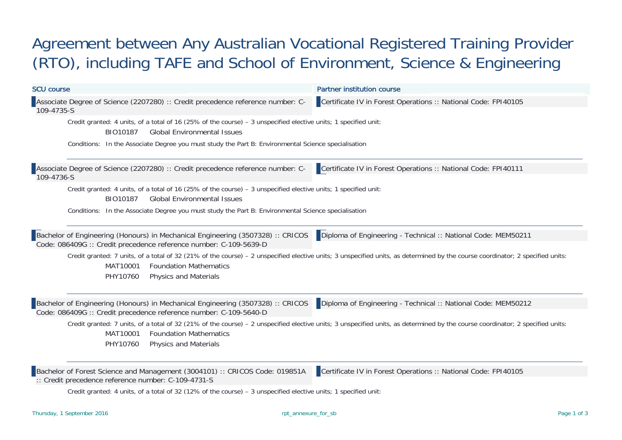## Agreement between Any Australian Vocational Registered Training Provider (RTO), including TAFE and School of Environment, Science & Engineering

| <b>SCU course</b>                                                                                                                                                                                                                                                                                                                                                                                                                                              | <b>Partner institution course</b>                              |
|----------------------------------------------------------------------------------------------------------------------------------------------------------------------------------------------------------------------------------------------------------------------------------------------------------------------------------------------------------------------------------------------------------------------------------------------------------------|----------------------------------------------------------------|
| Associate Degree of Science (2207280) :: Credit precedence reference number: C-<br>109-4735-S                                                                                                                                                                                                                                                                                                                                                                  | Certificate IV in Forest Operations :: National Code: FPI40105 |
| Credit granted: 4 units, of a total of 16 (25% of the course) - 3 unspecified elective units; 1 specified unit:<br>BIO10187<br><b>Global Environmental Issues</b>                                                                                                                                                                                                                                                                                              |                                                                |
| Conditions: In the Associate Degree you must study the Part B: Environmental Science specialisation                                                                                                                                                                                                                                                                                                                                                            |                                                                |
| Associate Degree of Science (2207280) :: Credit precedence reference number: C-<br>109-4736-S                                                                                                                                                                                                                                                                                                                                                                  | Certificate IV in Forest Operations :: National Code: FPI40111 |
| Credit granted: 4 units, of a total of 16 (25% of the course) - 3 unspecified elective units; 1 specified unit:<br>BIO10187<br><b>Global Environmental Issues</b>                                                                                                                                                                                                                                                                                              |                                                                |
| Conditions: In the Associate Degree you must study the Part B: Environmental Science specialisation                                                                                                                                                                                                                                                                                                                                                            |                                                                |
| Bachelor of Engineering (Honours) in Mechanical Engineering (3507328) :: CRICOS<br>Code: 086409G :: Credit precedence reference number: C-109-5639-D                                                                                                                                                                                                                                                                                                           | Diploma of Engineering - Technical :: National Code: MEM50211  |
| Credit granted: 7 units, of a total of 32 (21% of the course) - 2 unspecified elective units; 3 unspecified units, as determined by the course coordinator; 2 specified units:<br>MAT10001<br><b>Foundation Mathematics</b><br>PHY10760<br><b>Physics and Materials</b>                                                                                                                                                                                        |                                                                |
| Bachelor of Engineering (Honours) in Mechanical Engineering (3507328) :: CRICOS<br>Code: 086409G :: Credit precedence reference number: C-109-5640-D                                                                                                                                                                                                                                                                                                           | Diploma of Engineering - Technical :: National Code: MEM50212  |
| Credit granted: 7 units, of a total of 32 (21% of the course) - 2 unspecified elective units; 3 unspecified units, as determined by the course coordinator; 2 specified units:<br>MAT10001<br><b>Foundation Mathematics</b><br>PHY10760<br><b>Physics and Materials</b>                                                                                                                                                                                        |                                                                |
| Bachelor of Forest Science and Management (3004101) :: CRICOS Code: 019851A<br>$\therefore$ : Credit precedence reference number: C-109-4731-S<br>$Q_{\text{max}}$ the concentral of initial and $\mathcal{L}(\mathcal{A})$ and $\mathcal{L}(\mathcal{A})$ are concentral and $\mathcal{L}(\mathcal{A})$ and $\mathcal{L}(\mathcal{A})$ are contrary and $\mathcal{L}(\mathcal{A})$ and $\mathcal{L}(\mathcal{A})$ are contrary and $\mathcal{L}(\mathcal{A})$ | Certificate IV in Forest Operations :: National Code: FPI40105 |

Credit granted: 4 units, of a total of 32 (12% of the course) – 3 unspecified elective units; 1 specified unit: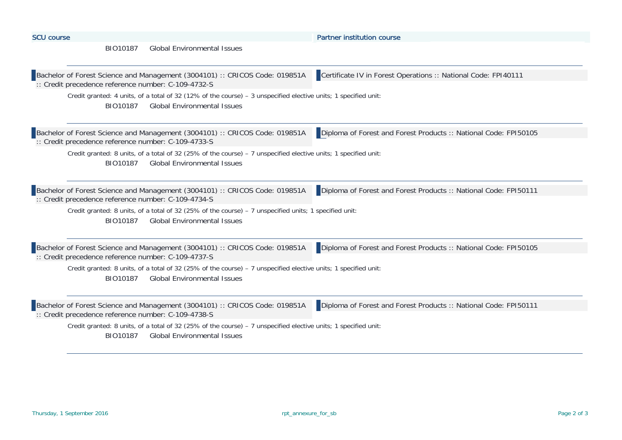| <b>SCU course</b>                                                                                                                                                 | <b>Partner institution course</b>                                |
|-------------------------------------------------------------------------------------------------------------------------------------------------------------------|------------------------------------------------------------------|
| <b>Global Environmental Issues</b><br>BIO10187                                                                                                                    |                                                                  |
|                                                                                                                                                                   |                                                                  |
| Bachelor of Forest Science and Management (3004101) :: CRICOS Code: 019851A<br>:: Credit precedence reference number: C-109-4732-S                                | Certificate IV in Forest Operations :: National Code: FPI40111   |
| Credit granted: 4 units, of a total of 32 (12% of the course) - 3 unspecified elective units; 1 specified unit:<br>BIO10187<br><b>Global Environmental Issues</b> |                                                                  |
| Bachelor of Forest Science and Management (3004101) :: CRICOS Code: 019851A<br>:: Credit precedence reference number: C-109-4733-S                                | Diploma of Forest and Forest Products :: National Code: FPI50105 |
| Credit granted: 8 units, of a total of 32 (25% of the course) - 7 unspecified elective units; 1 specified unit:<br><b>Global Environmental Issues</b><br>BIO10187 |                                                                  |
| Bachelor of Forest Science and Management (3004101) :: CRICOS Code: 019851A<br>:: Credit precedence reference number: C-109-4734-S                                | Diploma of Forest and Forest Products :: National Code: FPI50111 |
| Credit granted: 8 units, of a total of 32 (25% of the course) - 7 unspecified units; 1 specified unit:<br><b>Global Environmental Issues</b><br>BIO10187          |                                                                  |
| Bachelor of Forest Science and Management (3004101) :: CRICOS Code: 019851A<br>:: Credit precedence reference number: C-109-4737-S                                | Diploma of Forest and Forest Products :: National Code: FPI50105 |
| Credit granted: 8 units, of a total of 32 (25% of the course) - 7 unspecified elective units; 1 specified unit:<br>BIO10187<br><b>Global Environmental Issues</b> |                                                                  |
| Bachelor of Forest Science and Management (3004101) :: CRICOS Code: 019851A<br>:: Credit precedence reference number: C-109-4738-S                                | Diploma of Forest and Forest Products :: National Code: FPI50111 |
| Credit granted: 8 units, of a total of 32 (25% of the course) – 7 unspecified elective units; 1 specified unit:<br><b>Global Environmental Issues</b><br>BIO10187 |                                                                  |